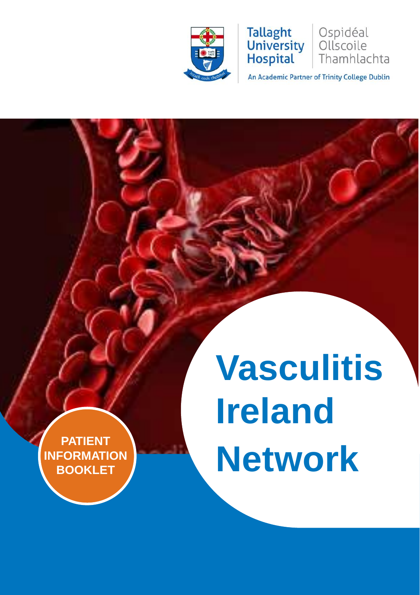



An Academic Partner of Trinity College Dublin

Ospidéal

Ollscoile Thamhlachta

# **Vasculitis Ireland Network**

**PATIENT INFORMATION BOOKLET**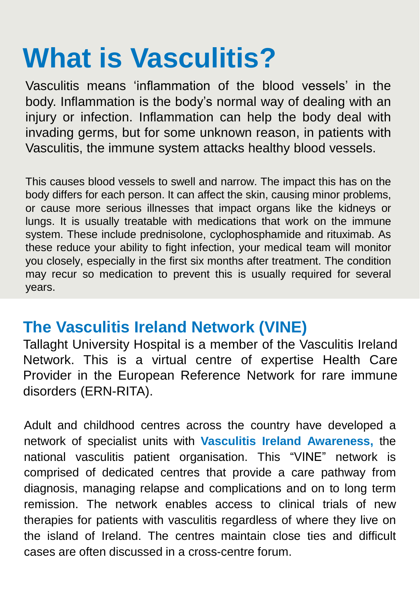## **What is Vasculitis?**

Vasculitis means 'inflammation of the blood vessels' in the body. Inflammation is the body's normal way of dealing with an injury or infection. Inflammation can help the body deal with invading germs, but for some unknown reason, in patients with Vasculitis, the immune system attacks healthy blood vessels.

This causes blood vessels to swell and narrow. The impact this has on the body differs for each person. It can affect the skin, causing minor problems, or cause more serious illnesses that impact organs like the kidneys or lungs. It is usually treatable with medications that work on the immune system. These include prednisolone, cyclophosphamide and rituximab. As these reduce your ability to fight infection, your medical team will monitor you closely, especially in the first six months after treatment. The condition may recur so medication to prevent this is usually required for several years.

## **The Vasculitis Ireland Network (VINE)**

Tallaght University Hospital is a member of the Vasculitis Ireland Network. This is a virtual centre of expertise Health Care Provider in the European Reference Network for rare immune disorders (ERN-RITA).

Adult and childhood centres across the country have developed a network of specialist units with **Vasculitis Ireland Awareness,** the national vasculitis patient organisation. This "VINE" network is comprised of dedicated centres that provide a care pathway from diagnosis, managing relapse and complications and on to long term remission. The network enables access to clinical trials of new therapies for patients with vasculitis regardless of where they live on the island of Ireland. The centres maintain close ties and difficult cases are often discussed in a cross-centre forum.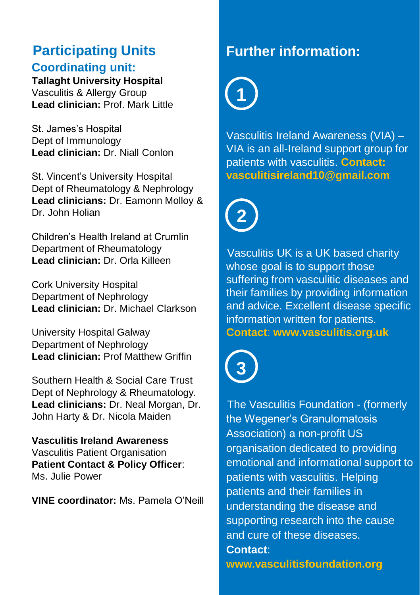## **Participating Units**

#### **Coordinating unit:**

**Tallaght University Hospital**  Vasculitis & Allergy Group

**Lead clinician:** Prof. Mark Little

St. James's Hospital Dept of Immunology **Lead clinician:** Dr. Niall Conlon

St. Vincent's University Hospital Dept of Rheumatology & Nephrology **Lead clinicians:** Dr. Eamonn Molloy & Dr. John Holian

Children's Health Ireland at Crumlin Department of Rheumatology **Lead clinician:** Dr. Orla Killeen

Cork University Hospital Department of Nephrology **Lead clinician:** Dr. Michael Clarkson

University Hospital Galway Department of Nephrology **Lead clinician:** Prof Matthew Griffin

Southern Health & Social Care Trust Dept of Nephrology & Rheumatology. **Lead clinicians:** Dr. Neal Morgan, Dr. John Harty & Dr. Nicola Maiden

**Vasculitis Ireland Awareness** Vasculitis Patient Organisation **Patient Contact & Policy Officer**: Ms. Julie Power

**VINE coordinator:** Ms. Pamela O'Neill

### **Further information:**

**1**

Vasculitis Ireland Awareness (VIA) – VIA is an all-Ireland support group for patients with vasculitis. **Contact: vasculitisireland10@gmail.com**



Vasculitis UK is a UK based charity whose goal is to support those suffering from vasculitic diseases and their families by providing information and advice. Excellent disease specific information written for patients. **Contact**: **www.vasculitis.org.uk** 



The Vasculitis Foundation - (formerly the Wegener's Granulomatosis Association) a non-profit US organisation dedicated to providing emotional and informational support to patients with vasculitis. Helping patients and their families in understanding the disease and supporting research into the cause and cure of these diseases. **Contact**:

**www.vasculitisfoundation.org**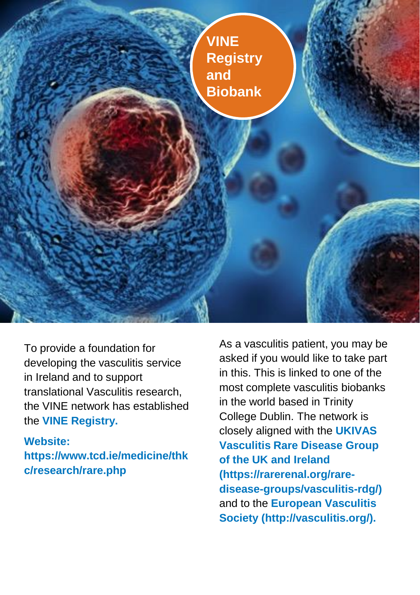

To provide a foundation for developing the vasculitis service in Ireland and to support translational Vasculitis research, the VINE network has established the **VINE Registry.** 

**Website: https://www.tcd.ie/medicine/thk c/research/rare.php**

As a vasculitis patient, you may be asked if you would like to take part in this. This is linked to one of the most complete vasculitis biobanks in the world based in Trinity College Dublin. The network is closely aligned with the **UKIVAS Vasculitis Rare Disease Group of the UK and Ireland (https://rarerenal.org/raredisease-groups/vasculitis-rdg/)**  and to the **European Vasculitis Society (http://vasculitis.org/).**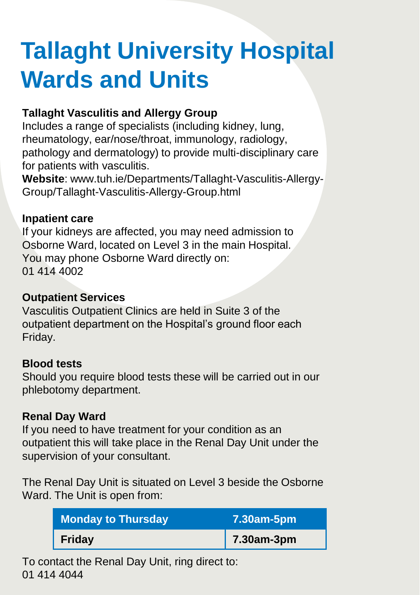## **Tallaght University Hospital Wards and Units**

#### **Tallaght Vasculitis and Allergy Group**

Includes a range of specialists (including kidney, lung, rheumatology, ear/nose/throat, immunology, radiology, pathology and dermatology) to provide multi-disciplinary care for patients with vasculitis.

**Website**: www.tuh.ie/Departments/Tallaght-Vasculitis-Allergy-Group/Tallaght-Vasculitis-Allergy-Group.html

#### **Inpatient care**

If your kidneys are affected, you may need admission to Osborne Ward, located on Level 3 in the main Hospital. You may phone Osborne Ward directly on: 01 414 4002

#### **Outpatient Services**

Vasculitis Outpatient Clinics are held in Suite 3 of the outpatient department on the Hospital's ground floor each Friday.

#### **Blood tests**

Should you require blood tests these will be carried out in our phlebotomy department.

#### **Renal Day Ward**

If you need to have treatment for your condition as an outpatient this will take place in the Renal Day Unit under the supervision of your consultant.

The Renal Day Unit is situated on Level 3 beside the Osborne Ward. The Unit is open from:

| <b>Monday to Thursday</b> | 7.30am-5pm |
|---------------------------|------------|
| Friday                    | 7.30am-3pm |

To contact the Renal Day Unit, ring direct to: 01 414 4044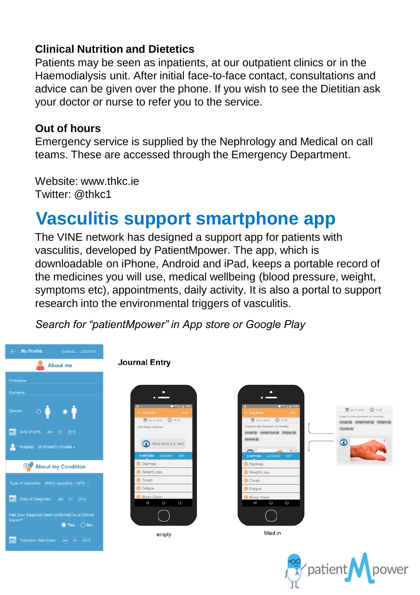#### **Clinical Nutrition and Dietetics**

Patients may be seen as inpatients, at our outpatient clinics or in the Haemodialysis unit. After initial face-to-face contact, consultations and advice can be given over the phone. If you wish to see the Dietitian ask your doctor or nurse to refer you to the service.

#### **Out of hours**

Emergency service is supplied by the Nephrology and Medical on call teams. These are accessed through the Emergency Department.

Website: www.thkc.ie Twitter: @thkc1

## **Vasculitis support smartphone app**

The VINE network has designed a support app for patients with vasculitis, developed by PatientMpower. The app, which is downloadable on iPhone, Android and iPad, keeps a portable record of the medicines you will use, medical wellbeing (blood pressure, weight, symptoms etc), appointments, daily activity. It is also a portal to support research into the environmental triggers of vasculitis.

*Search for "patientMpower" in App store or Google Play*